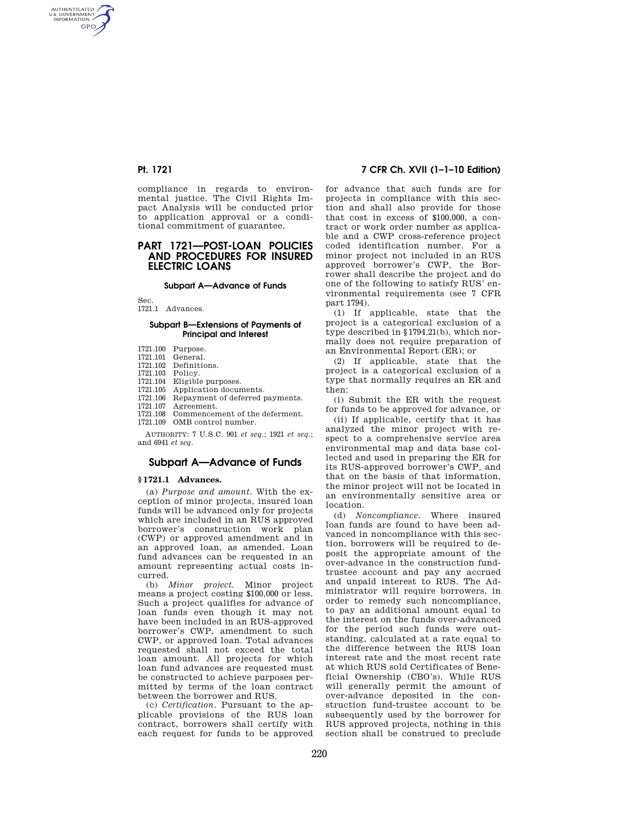AUTHENTICATED<br>U.S. GOVERNMENT<br>INFORMATION **GPO** 

> compliance in regards to environmental justice. The Civil Rights Impact Analysis will be conducted prior to application approval or a conditional commitment of guarantee.

# **PART 1721—POST-LOAN POLICIES AND PROCEDURES FOR INSURED ELECTRIC LOANS**

### **Subpart A—Advance of Funds**

Sec. 1721.1 Advances.

## **Subpart B—Extensions of Payments of Principal and Interest**

- 1721.101 General.
- 1721.102 Definitions.
- 1721.103 Policy.
- 1721.104 Eligible purposes.
- 1721.105 Application documents.
- 1721.106 Repayment of deferred payments. 1721.107 Agreement.
- 1721.108 Commencement of the deferment.
- 1721.109 OMB control number.

AUTHORITY: 7 U.S.C. 901 *et seq.*; 1921 *et seq.*; and 6941 *et seq.* 

# **Subpart A—Advance of Funds**

## **§ 1721.1 Advances.**

(a) *Purpose and amount.* With the exception of minor projects, insured loan funds will be advanced only for projects which are included in an RUS approved borrower's construction work plan (CWP) or approved amendment and in an approved loan, as amended. Loan fund advances can be requested in an amount representing actual costs incurred.

(b) *Minor project.* Minor project means a project costing \$100,000 or less. Such a project qualifies for advance of loan funds even though it may not have been included in an RUS-approved borrower's CWP, amendment to such CWP, or approved loan. Total advances requested shall not exceed the total loan amount. All projects for which loan fund advances are requested must be constructed to achieve purposes permitted by terms of the loan contract between the borrower and RUS.

(c) *Certification.* Pursuant to the applicable provisions of the RUS loan contract, borrowers shall certify with each request for funds to be approved

# **Pt. 1721 7 CFR Ch. XVII (1–1–10 Edition)**

for advance that such funds are for projects in compliance with this section and shall also provide for those that cost in excess of \$100,000, a contract or work order number as applicable and a CWP cross-reference project coded identification number. For a minor project not included in an RUS approved borrower's CWP, the Borrower shall describe the project and do one of the following to satisfy RUS' environmental requirements (see 7 CFR part 1794).

(1) If applicable, state that the project is a categorical exclusion of a type described in §1794.21(b), which normally does not require preparation of an Environmental Report (ER); or

(2) If applicable, state that the project is a categorical exclusion of a type that normally requires an ER and then:

(i) Submit the ER with the request for funds to be approved for advance, or

(ii) If applicable, certify that it has analyzed the minor project with respect to a comprehensive service area environmental map and data base collected and used in preparing the ER for its RUS-approved borrower's CWP, and that on the basis of that information, the minor project will not be located in an environmentally sensitive area or location.

(d) *Noncompliance.* Where insured loan funds are found to have been advanced in noncompliance with this section, borrowers will be required to deposit the appropriate amount of the over-advance in the construction fundtrustee account and pay any accrued and unpaid interest to RUS. The Administrator will require borrowers, in order to remedy such noncompliance, to pay an additional amount equal to the interest on the funds over-advanced for the period such funds were outstanding, calculated at a rate equal to the difference between the RUS loan interest rate and the most recent rate at which RUS sold Certificates of Beneficial Ownership (CBO's). While RUS will generally permit the amount of over-advance deposited in the construction fund-trustee account to be subsequently used by the borrower for RUS approved projects, nothing in this section shall be construed to preclude